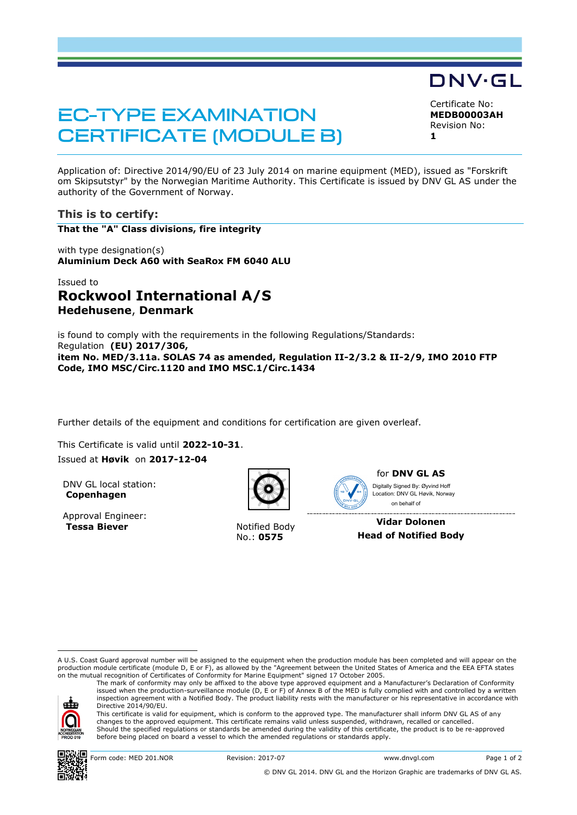# **EC-TYPE EXAMINATION CERTIFICATE (MODULE B)**

Certificate No: **MEDB00003AH** Revision No:

DNV·GL

**1**

Application of: Directive 2014/90/EU of 23 July 2014 on marine equipment (MED), issued as "Forskrift om Skipsutstyr" by the Norwegian Maritime Authority. This Certificate is issued by DNV GL AS under the authority of the Government of Norway.

### **This is to certify:**

**That the "A" Class divisions, fire integrity**

with type designation(s) **Aluminium Deck A60 with SeaRox FM 6040 ALU**

## Issued to **Rockwool International A/S Hedehusene**, **Denmark**

is found to comply with the requirements in the following Regulations/Standards: Regulation **(EU) 2017/306, item No. MED/3.11a. SOLAS 74 as amended, Regulation II-2/3.2 & II-2/9, IMO 2010 FTP Code, IMO MSC/Circ.1120 and IMO MSC.1/Circ.1434**

Further details of the equipment and conditions for certification are given overleaf.

This Certificate is valid until **2022-10-31**. Issued at **Høvik** on **2017-12-04**

DNV GL local station: **Copenhagen**

Approval Engineer: **Tessa Biever** Notified Body



No.: **0575**



for **DNV GL AS** Ï Digitally Signed By: Øyvind Hoff Location: DNV GL Høvik, Norway on behalf of

**Vidar Dolonen Head of Notified Body**

A U.S. Coast Guard approval number will be assigned to the equipment when the production module has been completed and will appear on the production module certificate (module D, E or F), as allowed by the "Agreement between the United States of America and the EEA EFTA states on the mutual recognition of Certificates of Conformity for Marine Equipment" signed 17 October 2005.

ele

ı

Directive 2014/90/EU. This certificate is valid for equipment, which is conform to the approved type. The manufacturer shall inform DNV GL AS of any changes to the approved equipment. This certificate remains valid unless suspended, withdrawn, recalled or cancelled. Should the specified regulations or standards be amended during the validity of this certificate, the product is to be re-approved before being placed on board a vessel to which the amended regulations or standards apply.

The mark of conformity may only be affixed to the above type approved equipment and a Manufacturer's Declaration of Conformity<br>issued when the production-surveillance module (D, E or F) of Annex B of the MED is fully compl inspection agreement with a Notified Body. The product liability rests with the manufacturer or his representative in accordance with